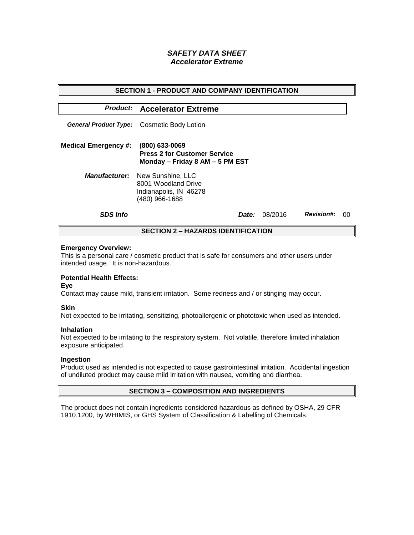# *SAFETY DATA SHEET Accelerator Extreme*

| <b>SECTION 1 - PRODUCT AND COMPANY IDENTIFICATION</b> |                                                                                                           |              |         |                   |    |  |
|-------------------------------------------------------|-----------------------------------------------------------------------------------------------------------|--------------|---------|-------------------|----|--|
|                                                       | <b>Product: Accelerator Extreme</b>                                                                       |              |         |                   |    |  |
|                                                       | <b>General Product Type:</b> Cosmetic Body Lotion                                                         |              |         |                   |    |  |
| <b>Medical Emergency #:</b>                           | (800) 633-0069<br><b>Press 2 for Customer Service</b><br>Monday - Friday 8 AM - 5 PM EST                  |              |         |                   |    |  |
|                                                       | <b>Manufacturer:</b> New Sunshine, LLC<br>8001 Woodland Drive<br>Indianapolis, IN 46278<br>(480) 966-1688 |              |         |                   |    |  |
| <b>SDS Info</b>                                       |                                                                                                           | <i>Date:</i> | 08/2016 | <b>Revision#:</b> | ററ |  |
| <b>SECTION 2 - HAZARDS IDENTIFICATION</b>             |                                                                                                           |              |         |                   |    |  |

#### **Emergency Overview:**

This is a personal care / cosmetic product that is safe for consumers and other users under intended usage. It is non-hazardous.

## **Potential Health Effects:**

**Eye**

Contact may cause mild, transient irritation. Some redness and / or stinging may occur.

### **Skin**

Not expected to be irritating, sensitizing, photoallergenic or phototoxic when used as intended.

#### **Inhalation**

Not expected to be irritating to the respiratory system. Not volatile, therefore limited inhalation exposure anticipated.

### **Ingestion**

Product used as intended is not expected to cause gastrointestinal irritation. Accidental ingestion of undiluted product may cause mild irritation with nausea, vomiting and diarrhea.

### **SECTION 3 – COMPOSITION AND INGREDIENTS**

The product does not contain ingredients considered hazardous as defined by OSHA, 29 CFR 1910.1200, by WHIMIS, or GHS System of Classification & Labelling of Chemicals.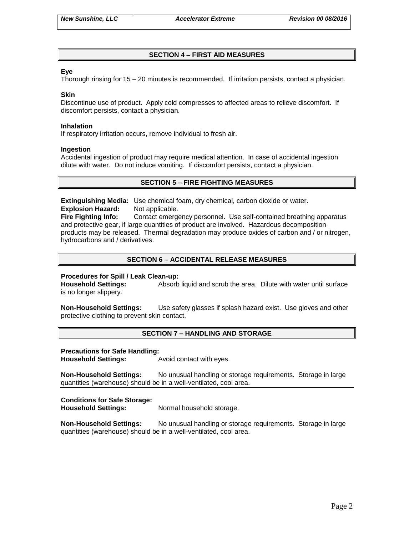## **SECTION 4 – FIRST AID MEASURES**

### **Eye**

Thorough rinsing for 15 – 20 minutes is recommended. If irritation persists, contact a physician.

#### **Skin**

Discontinue use of product. Apply cold compresses to affected areas to relieve discomfort. If discomfort persists, contact a physician.

#### **Inhalation**

If respiratory irritation occurs, remove individual to fresh air.

#### **Ingestion**

Accidental ingestion of product may require medical attention. In case of accidental ingestion dilute with water. Do not induce vomiting. If discomfort persists, contact a physician.

### **SECTION 5 – FIRE FIGHTING MEASURES**

**Extinguishing Media:** Use chemical foam, dry chemical, carbon dioxide or water. **Explosion Hazard:** Not applicable.

**Fire Fighting Info:** Contact emergency personnel. Use self-contained breathing apparatus and protective gear, if large quantities of product are involved. Hazardous decomposition products may be released. Thermal degradation may produce oxides of carbon and / or nitrogen, hydrocarbons and / derivatives.

## **SECTION 6 – ACCIDENTAL RELEASE MEASURES**

### **Procedures for Spill / Leak Clean-up:**

**Household Settings:** Absorb liquid and scrub the area. Dilute with water until surface is no longer slippery.

**Non-Household Settings:** Use safety glasses if splash hazard exist. Use gloves and other protective clothing to prevent skin contact.

### **SECTION 7 – HANDLING AND STORAGE**

#### **Precautions for Safe Handling:**

**Household Settings:** Avoid contact with eyes.

**Non-Household Settings:** No unusual handling or storage requirements. Storage in large quantities (warehouse) should be in a well-ventilated, cool area.

### **Conditions for Safe Storage:**

**Household Settings:** Normal household storage.

**Non-Household Settings:** No unusual handling or storage requirements. Storage in large quantities (warehouse) should be in a well-ventilated, cool area.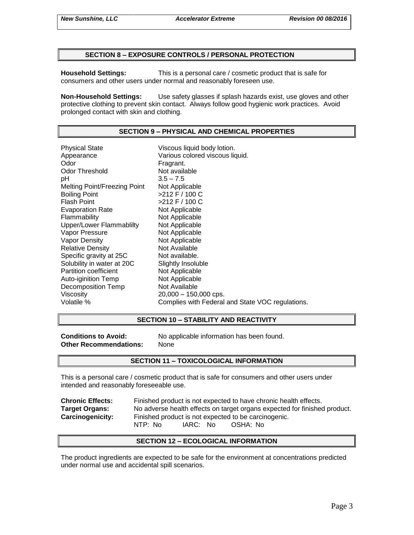### **SECTION 8 – EXPOSURE CONTROLS / PERSONAL PROTECTION**

**Household Settings:** This is a personal care / cosmetic product that is safe for consumers and other users under normal and reasonably foreseen use.

**Non-Household Settings:** Use safety glasses if splash hazards exist, use gloves and other protective clothing to prevent skin contact. Always follow good hygienic work practices. Avoid prolonged contact with skin and clothing.

### **SECTION 9 – PHYSICAL AND CHEMICAL PROPERTIES**

Physical State Viscous liquid body lotion. Appearance **Various colored viscous liquid.**<br>
Odor Communication Colore Fragrant. Odor Threshold Not available pH 3.5 – 7.5 Melting Point/Freezing Point Not Applicable Boiling Point >212 F / 100 C Flash Point  $>212$  F / 100 C Evaporation Rate Not Applicable Flammability Not Applicable Upper/Lower Flammablilty Not Applicable Vapor Pressure Not Applicable Vapor Density Not Applicable Relative Density Not Available Specific gravity at 25C Not available. Solubility in water at 20C Slightly Insoluble Partition coefficient Not Applicable Auto-iginition Temp Not Applicable Decomposition Temp Not Available Viscosity 20,000 – 150,000 cps. Volatile % Complies with Federal and State VOC regulations.

### **SECTION 10 – STABILITY AND REACTIVITY**

**Other Recommendations:** None

**Conditions to Avoid:** No applicable information has been found.

### **SECTION 11 – TOXICOLOGICAL INFORMATION**

This is a personal care / cosmetic product that is safe for consumers and other users under intended and reasonably foreseeable use.

**Chronic Effects:** Finished product is not expected to have chronic health effects. **Target Organs:** No adverse health effects on target organs expected for finished product. **Carcinogenicity:** Finished product is not expected to be carcinogenic. NTP: No IARC: No OSHA: No

### **SECTION 12 – ECOLOGICAL INFORMATION**

The product ingredients are expected to be safe for the environment at concentrations predicted under normal use and accidental spill scenarios.